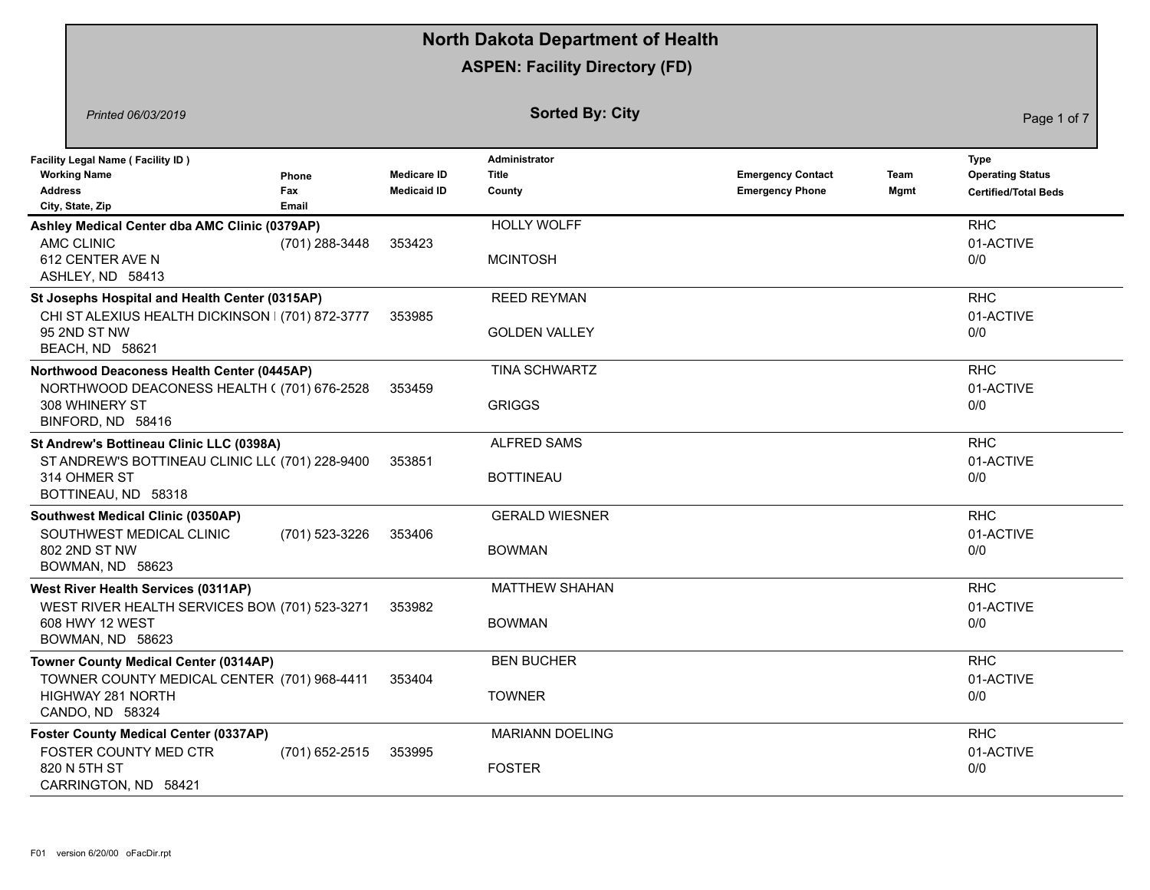|                                                                                                                                       |                       |                                          | <b>North Dakota Department of Health</b>       |                                                    |              |                                                                |
|---------------------------------------------------------------------------------------------------------------------------------------|-----------------------|------------------------------------------|------------------------------------------------|----------------------------------------------------|--------------|----------------------------------------------------------------|
|                                                                                                                                       |                       |                                          | <b>ASPEN: Facility Directory (FD)</b>          |                                                    |              |                                                                |
| Printed 06/03/2019                                                                                                                    |                       |                                          | <b>Sorted By: City</b>                         |                                                    |              | Page 1 of 7                                                    |
| <b>Facility Legal Name (Facility ID)</b><br><b>Working Name</b><br><b>Address</b><br>City, State, Zip                                 | Phone<br>Fax<br>Email | <b>Medicare ID</b><br><b>Medicaid ID</b> | <b>Administrator</b><br><b>Title</b><br>County | <b>Emergency Contact</b><br><b>Emergency Phone</b> | Team<br>Mgmt | Type<br><b>Operating Status</b><br><b>Certified/Total Beds</b> |
| Ashley Medical Center dba AMC Clinic (0379AP)<br>AMC CLINIC<br>612 CENTER AVE N<br>ASHLEY, ND 58413                                   | (701) 288-3448        | 353423                                   | <b>HOLLY WOLFF</b><br><b>MCINTOSH</b>          |                                                    |              | <b>RHC</b><br>01-ACTIVE<br>0/0                                 |
| St Josephs Hospital and Health Center (0315AP)<br>CHI ST ALEXIUS HEALTH DICKINSON   (701) 872-3777<br>95 2ND ST NW<br>BEACH, ND 58621 |                       | 353985                                   | <b>REED REYMAN</b><br><b>GOLDEN VALLEY</b>     |                                                    |              | <b>RHC</b><br>01-ACTIVE<br>0/0                                 |
| Northwood Deaconess Health Center (0445AP)<br>NORTHWOOD DEACONESS HEALTH ((701) 676-2528<br>308 WHINERY ST<br>BINFORD, ND 58416       |                       | 353459                                   | <b>TINA SCHWARTZ</b><br><b>GRIGGS</b>          |                                                    |              | <b>RHC</b><br>01-ACTIVE<br>0/0                                 |
| St Andrew's Bottineau Clinic LLC (0398A)<br>ST ANDREW'S BOTTINEAU CLINIC LL( (701) 228-9400<br>314 OHMER ST<br>BOTTINEAU, ND 58318    |                       | 353851                                   | <b>ALFRED SAMS</b><br><b>BOTTINEAU</b>         |                                                    |              | <b>RHC</b><br>01-ACTIVE<br>0/0                                 |
| Southwest Medical Clinic (0350AP)<br>SOUTHWEST MEDICAL CLINIC<br>802 2ND ST NW<br>BOWMAN, ND 58623                                    | (701) 523-3226        | 353406                                   | <b>GERALD WIESNER</b><br><b>BOWMAN</b>         |                                                    |              | <b>RHC</b><br>01-ACTIVE<br>0/0                                 |
| <b>West River Health Services (0311AP)</b><br>WEST RIVER HEALTH SERVICES BOW (701) 523-3271<br>608 HWY 12 WEST<br>BOWMAN, ND 58623    |                       | 353982                                   | <b>MATTHEW SHAHAN</b><br><b>BOWMAN</b>         |                                                    |              | <b>RHC</b><br>01-ACTIVE<br>0/0                                 |
| <b>Towner County Medical Center (0314AP)</b><br>TOWNER COUNTY MEDICAL CENTER (701) 968-4411<br>HIGHWAY 281 NORTH<br>CANDO, ND 58324   |                       | 353404                                   | <b>BEN BUCHER</b><br><b>TOWNER</b>             |                                                    |              | <b>RHC</b><br>01-ACTIVE<br>0/0                                 |
| <b>Foster County Medical Center (0337AP)</b><br>FOSTER COUNTY MED CTR<br>820 N 5TH ST<br>CARRINGTON, ND 58421                         | (701) 652-2515        | 353995                                   | <b>MARIANN DOELING</b><br><b>FOSTER</b>        |                                                    |              | <b>RHC</b><br>01-ACTIVE<br>0/0                                 |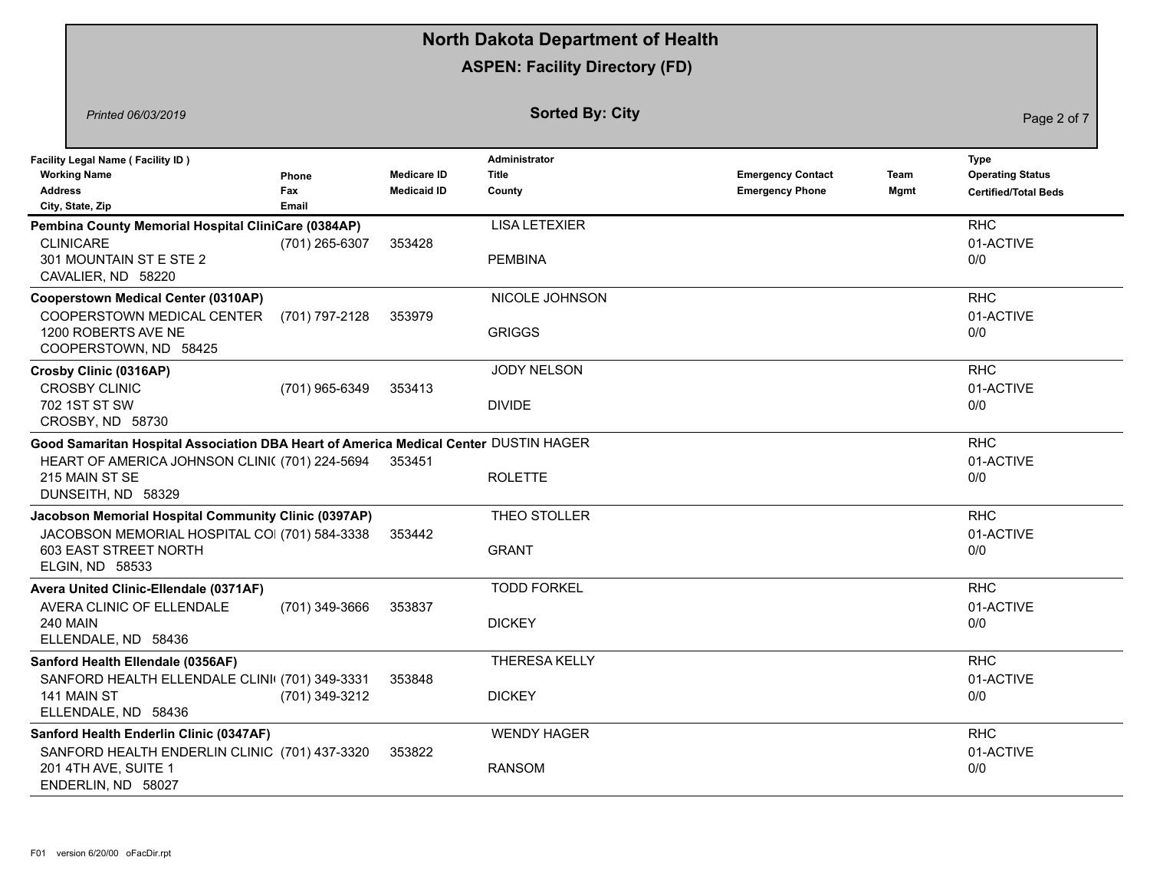|                                                                                                                                                                                |                       |                                          | <b>North Dakota Department of Health</b> |                                                    |              |                                                                |
|--------------------------------------------------------------------------------------------------------------------------------------------------------------------------------|-----------------------|------------------------------------------|------------------------------------------|----------------------------------------------------|--------------|----------------------------------------------------------------|
|                                                                                                                                                                                |                       |                                          | <b>ASPEN: Facility Directory (FD)</b>    |                                                    |              |                                                                |
| Printed 06/03/2019                                                                                                                                                             |                       |                                          | <b>Sorted By: City</b>                   |                                                    |              | Page 2 of 7                                                    |
| <b>Facility Legal Name (Facility ID)</b><br><b>Working Name</b><br><b>Address</b><br>City, State, Zip                                                                          | Phone<br>Fax<br>Email | <b>Medicare ID</b><br><b>Medicaid ID</b> | Administrator<br>Title<br>County         | <b>Emergency Contact</b><br><b>Emergency Phone</b> | Team<br>Mgmt | Type<br><b>Operating Status</b><br><b>Certified/Total Beds</b> |
| Pembina County Memorial Hospital CliniCare (0384AP)<br><b>CLINICARE</b><br>301 MOUNTAIN ST E STE 2<br>CAVALIER, ND 58220                                                       | (701) 265-6307        | 353428                                   | <b>LISA LETEXIER</b><br><b>PEMBINA</b>   |                                                    |              | <b>RHC</b><br>01-ACTIVE<br>0/0                                 |
| <b>Cooperstown Medical Center (0310AP)</b><br>COOPERSTOWN MEDICAL CENTER<br>1200 ROBERTS AVE NE<br>COOPERSTOWN, ND 58425                                                       | (701) 797-2128        | 353979                                   | NICOLE JOHNSON<br><b>GRIGGS</b>          |                                                    |              | <b>RHC</b><br>01-ACTIVE<br>0/0                                 |
| Crosby Clinic (0316AP)<br><b>CROSBY CLINIC</b><br>702 1ST ST SW<br>CROSBY, ND 58730                                                                                            | (701) 965-6349        | 353413                                   | <b>JODY NELSON</b><br><b>DIVIDE</b>      |                                                    |              | <b>RHC</b><br>01-ACTIVE<br>0/0                                 |
| Good Samaritan Hospital Association DBA Heart of America Medical Center DUSTIN HAGER<br>HEART OF AMERICA JOHNSON CLINI( (701) 224-5694<br>215 MAIN ST SE<br>DUNSEITH, ND 58329 |                       | 353451                                   | <b>ROLETTE</b>                           |                                                    |              | <b>RHC</b><br>01-ACTIVE<br>0/0                                 |
| Jacobson Memorial Hospital Community Clinic (0397AP)<br>JACOBSON MEMORIAL HOSPITAL COI (701) 584-3338<br>603 EAST STREET NORTH<br>ELGIN, ND 58533                              |                       | 353442                                   | THEO STOLLER<br><b>GRANT</b>             |                                                    |              | <b>RHC</b><br>01-ACTIVE<br>0/0                                 |
| Avera United Clinic-Ellendale (0371AF)<br>AVERA CLINIC OF ELLENDALE<br><b>240 MAIN</b><br>ELLENDALE, ND 58436                                                                  | (701) 349-3666        | 353837                                   | <b>TODD FORKEL</b><br><b>DICKEY</b>      |                                                    |              | <b>RHC</b><br>01-ACTIVE<br>0/0                                 |
| Sanford Health Ellendale (0356AF)<br>SANFORD HEALTH ELLENDALE CLINI (701) 349-3331<br>141 MAIN ST<br>ELLENDALE, ND 58436                                                       | (701) 349-3212        | 353848                                   | <b>THERESA KELLY</b><br><b>DICKEY</b>    |                                                    |              | <b>RHC</b><br>01-ACTIVE<br>0/0                                 |
| Sanford Health Enderlin Clinic (0347AF)<br>SANFORD HEALTH ENDERLIN CLINIC (701) 437-3320<br>201 4TH AVE, SUITE 1<br>ENDERLIN, ND 58027                                         |                       | 353822                                   | <b>WENDY HAGER</b><br><b>RANSOM</b>      |                                                    |              | <b>RHC</b><br>01-ACTIVE<br>0/0                                 |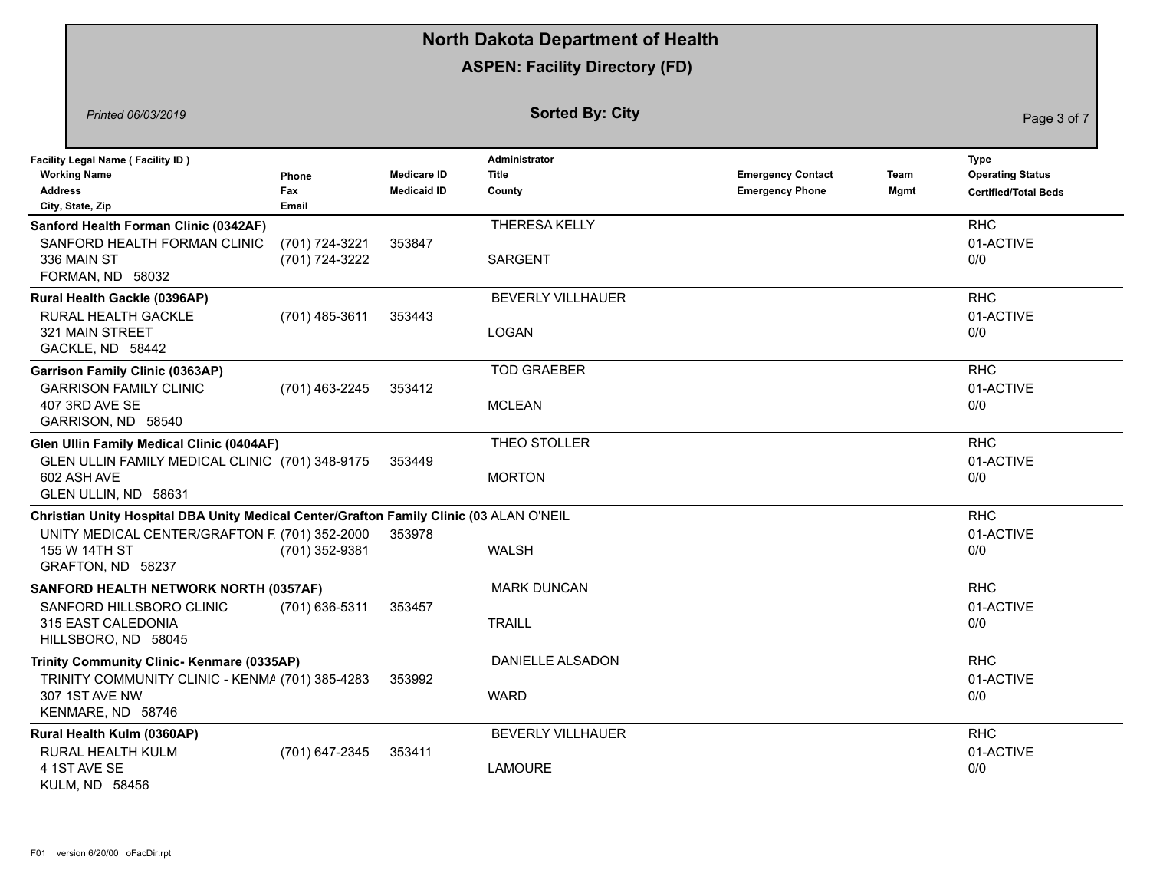|                                                                                                                                                                                |                                  |                                          | <b>North Dakota Department of Health</b>   |                                                    |              |                                                                       |
|--------------------------------------------------------------------------------------------------------------------------------------------------------------------------------|----------------------------------|------------------------------------------|--------------------------------------------|----------------------------------------------------|--------------|-----------------------------------------------------------------------|
|                                                                                                                                                                                |                                  |                                          | <b>ASPEN: Facility Directory (FD)</b>      |                                                    |              |                                                                       |
| Printed 06/03/2019                                                                                                                                                             |                                  |                                          | <b>Sorted By: City</b>                     |                                                    |              | Page 3 of 7                                                           |
| <b>Facility Legal Name (Facility ID)</b><br><b>Working Name</b><br><b>Address</b><br>City, State, Zip                                                                          | Phone<br>Fax<br><b>Email</b>     | <b>Medicare ID</b><br><b>Medicaid ID</b> | Administrator<br><b>Title</b><br>County    | <b>Emergency Contact</b><br><b>Emergency Phone</b> | Team<br>Mgmt | <b>Type</b><br><b>Operating Status</b><br><b>Certified/Total Beds</b> |
| Sanford Health Forman Clinic (0342AF)<br>SANFORD HEALTH FORMAN CLINIC<br>336 MAIN ST<br>FORMAN, ND 58032                                                                       | (701) 724-3221<br>(701) 724-3222 | 353847                                   | THERESA KELLY<br><b>SARGENT</b>            |                                                    |              | <b>RHC</b><br>01-ACTIVE<br>0/0                                        |
| Rural Health Gackle (0396AP)<br>RURAL HEALTH GACKLE<br>321 MAIN STREET<br>GACKLE, ND 58442                                                                                     | (701) 485-3611                   | 353443                                   | <b>BEVERLY VILLHAUER</b><br><b>LOGAN</b>   |                                                    |              | <b>RHC</b><br>01-ACTIVE<br>0/0                                        |
| <b>Garrison Family Clinic (0363AP)</b><br><b>GARRISON FAMILY CLINIC</b><br>407 3RD AVE SE<br>GARRISON, ND 58540                                                                | (701) 463-2245                   | 353412                                   | <b>TOD GRAEBER</b><br><b>MCLEAN</b>        |                                                    |              | <b>RHC</b><br>01-ACTIVE<br>0/0                                        |
| Glen Ullin Family Medical Clinic (0404AF)<br>GLEN ULLIN FAMILY MEDICAL CLINIC (701) 348-9175<br>602 ASH AVE<br>GLEN ULLIN, ND 58631                                            |                                  | 353449                                   | THEO STOLLER<br><b>MORTON</b>              |                                                    |              | <b>RHC</b><br>01-ACTIVE<br>0/0                                        |
| Christian Unity Hospital DBA Unity Medical Center/Grafton Family Clinic (03 ALAN O'NEIL<br>UNITY MEDICAL CENTER/GRAFTON F (701) 352-2000<br>155 W 14TH ST<br>GRAFTON, ND 58237 | (701) 352-9381                   | 353978                                   | <b>WALSH</b>                               |                                                    |              | <b>RHC</b><br>01-ACTIVE<br>0/0                                        |
| SANFORD HEALTH NETWORK NORTH (0357AF)<br>SANFORD HILLSBORO CLINIC<br>315 EAST CALEDONIA<br>HILLSBORO, ND 58045                                                                 | (701) 636-5311                   | 353457                                   | <b>MARK DUNCAN</b><br><b>TRAILL</b>        |                                                    |              | <b>RHC</b><br>01-ACTIVE<br>0/0                                        |
| Trinity Community Clinic- Kenmare (0335AP)<br>TRINITY COMMUNITY CLINIC - KENMA (701) 385-4283<br>307 1ST AVE NW<br>KENMARE, ND 58746                                           |                                  | 353992                                   | DANIELLE ALSADON<br><b>WARD</b>            |                                                    |              | <b>RHC</b><br>01-ACTIVE<br>0/0                                        |
| Rural Health Kulm (0360AP)<br>RURAL HEALTH KULM<br>4 1ST AVE SE<br>KULM, ND 58456                                                                                              | (701) 647-2345                   | 353411                                   | <b>BEVERLY VILLHAUER</b><br><b>LAMOURE</b> |                                                    |              | <b>RHC</b><br>01-ACTIVE<br>0/0                                        |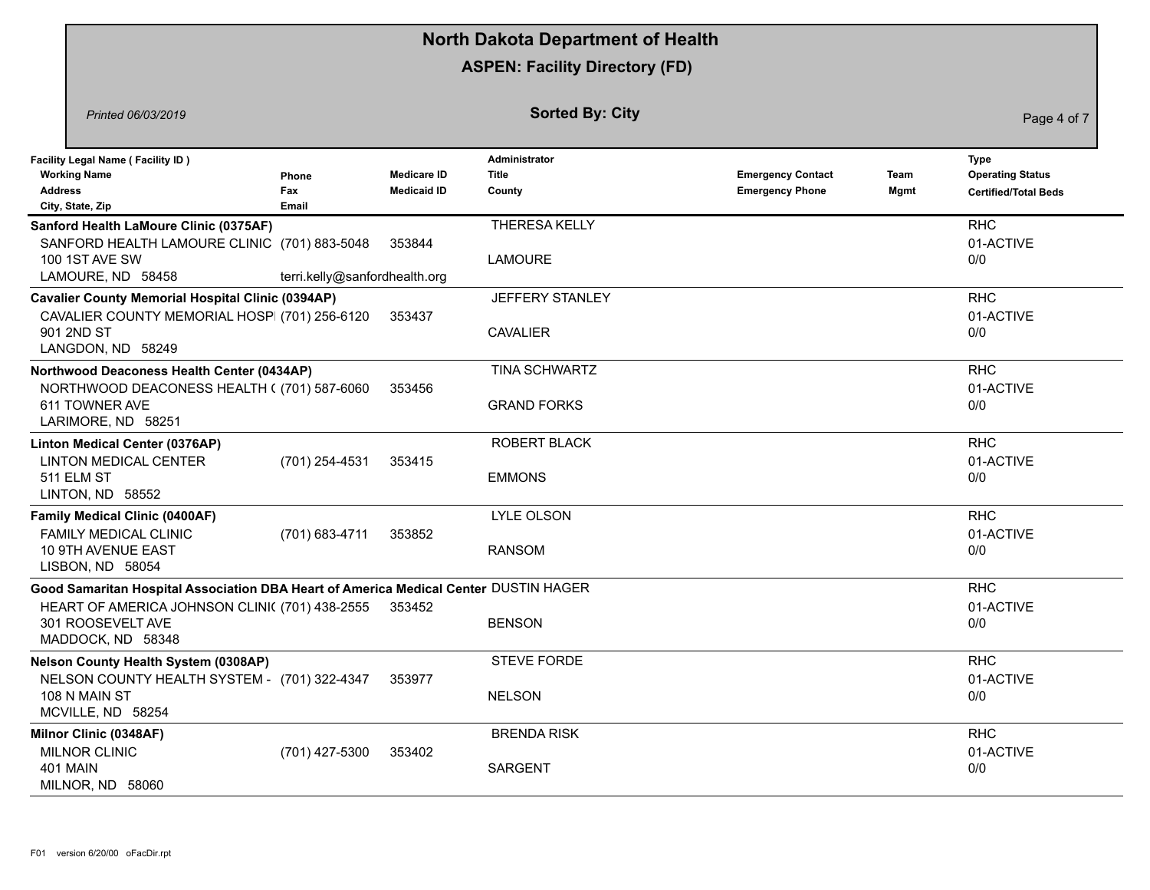|                                                                                                                                                                                  |                               |                                          | <b>North Dakota Department of Health</b>       |                                                    |              |                                                                |
|----------------------------------------------------------------------------------------------------------------------------------------------------------------------------------|-------------------------------|------------------------------------------|------------------------------------------------|----------------------------------------------------|--------------|----------------------------------------------------------------|
|                                                                                                                                                                                  |                               |                                          | <b>ASPEN: Facility Directory (FD)</b>          |                                                    |              |                                                                |
| Printed 06/03/2019                                                                                                                                                               |                               |                                          | <b>Sorted By: City</b>                         |                                                    |              | Page 4 of 7                                                    |
| <b>Facility Legal Name (Facility ID)</b><br><b>Working Name</b><br><b>Address</b><br>City, State, Zip                                                                            | Phone<br>Fax<br>Email         | <b>Medicare ID</b><br><b>Medicaid ID</b> | <b>Administrator</b><br><b>Title</b><br>County | <b>Emergency Contact</b><br><b>Emergency Phone</b> | Team<br>Mgmt | Type<br><b>Operating Status</b><br><b>Certified/Total Beds</b> |
| Sanford Health LaMoure Clinic (0375AF)<br>SANFORD HEALTH LAMOURE CLINIC (701) 883-5048<br>100 1ST AVE SW<br>LAMOURE, ND 58458                                                    | terri.kelly@sanfordhealth.org | 353844                                   | THERESA KELLY<br><b>LAMOURE</b>                |                                                    |              | <b>RHC</b><br>01-ACTIVE<br>0/0                                 |
| <b>Cavalier County Memorial Hospital Clinic (0394AP)</b><br>CAVALIER COUNTY MEMORIAL HOSP (701) 256-6120<br>901 2ND ST<br>LANGDON, ND 58249                                      |                               | 353437                                   | JEFFERY STANLEY<br><b>CAVALIER</b>             |                                                    |              | <b>RHC</b><br>01-ACTIVE<br>0/0                                 |
| Northwood Deaconess Health Center (0434AP)<br>NORTHWOOD DEACONESS HEALTH ((701) 587-6060<br>611 TOWNER AVE<br>LARIMORE, ND 58251                                                 |                               | 353456                                   | <b>TINA SCHWARTZ</b><br><b>GRAND FORKS</b>     |                                                    |              | <b>RHC</b><br>01-ACTIVE<br>0/0                                 |
| Linton Medical Center (0376AP)<br><b>LINTON MEDICAL CENTER</b><br>511 ELM ST<br>LINTON, ND 58552                                                                                 | (701) 254-4531                | 353415                                   | ROBERT BLACK<br><b>EMMONS</b>                  |                                                    |              | <b>RHC</b><br>01-ACTIVE<br>0/0                                 |
| <b>Family Medical Clinic (0400AF)</b><br><b>FAMILY MEDICAL CLINIC</b><br>10 9TH AVENUE EAST<br>LISBON, ND 58054                                                                  | (701) 683-4711                | 353852                                   | LYLE OLSON<br><b>RANSOM</b>                    |                                                    |              | <b>RHC</b><br>01-ACTIVE<br>0/0                                 |
| Good Samaritan Hospital Association DBA Heart of America Medical Center DUSTIN HAGER<br>HEART OF AMERICA JOHNSON CLINI( (701) 438-2555<br>301 ROOSEVELT AVE<br>MADDOCK, ND 58348 |                               | 353452                                   | <b>BENSON</b>                                  |                                                    |              | <b>RHC</b><br>01-ACTIVE<br>0/0                                 |
| <b>Nelson County Health System (0308AP)</b><br>NELSON COUNTY HEALTH SYSTEM - (701) 322-4347<br>108 N MAIN ST<br>MCVILLE, ND 58254                                                |                               | 353977                                   | <b>STEVE FORDE</b><br><b>NELSON</b>            |                                                    |              | <b>RHC</b><br>01-ACTIVE<br>0/0                                 |
| Milnor Clinic (0348AF)<br>MILNOR CLINIC<br><b>401 MAIN</b><br>MILNOR, ND 58060                                                                                                   | (701) 427-5300                | 353402                                   | <b>BRENDA RISK</b><br>SARGENT                  |                                                    |              | <b>RHC</b><br>01-ACTIVE<br>0/0                                 |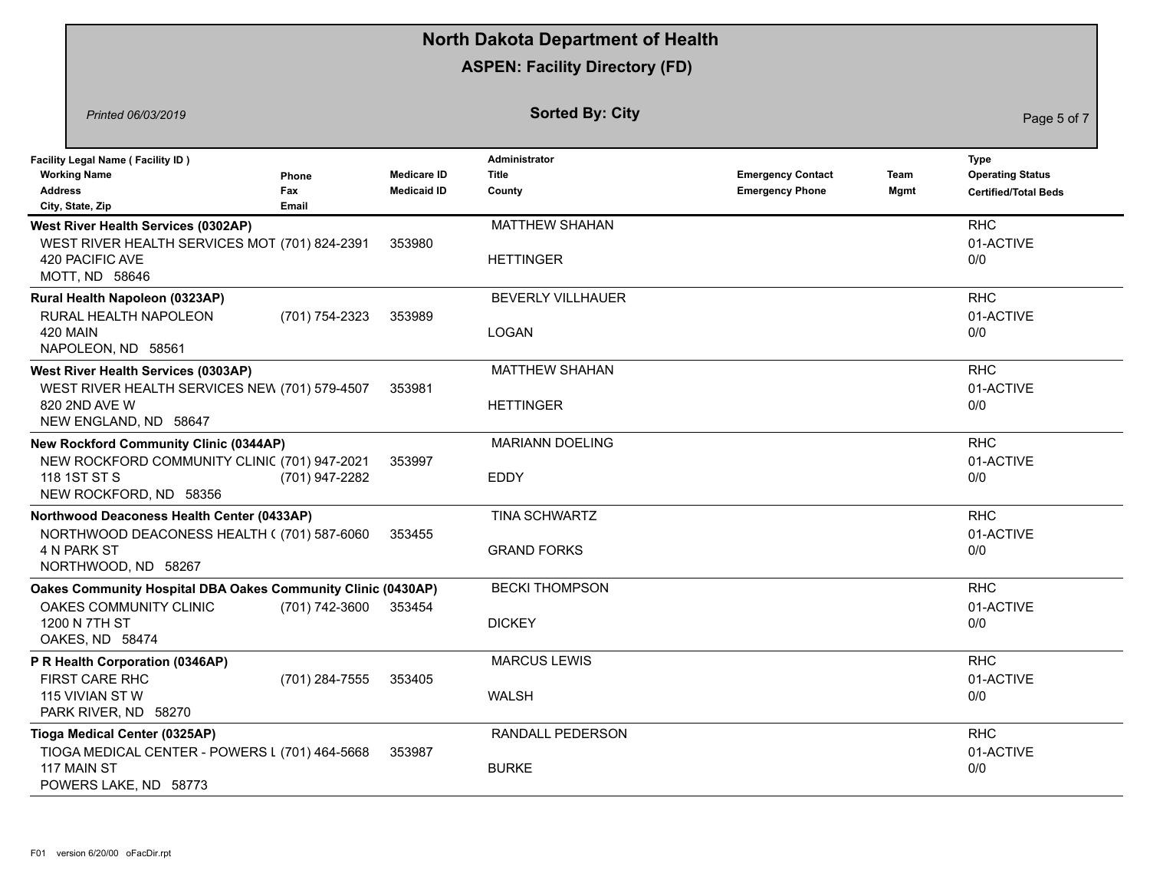|                                                                                                                                         |                       |                                          | <b>North Dakota Department of Health</b>       |                                                    |              |                                                                |
|-----------------------------------------------------------------------------------------------------------------------------------------|-----------------------|------------------------------------------|------------------------------------------------|----------------------------------------------------|--------------|----------------------------------------------------------------|
|                                                                                                                                         |                       |                                          | <b>ASPEN: Facility Directory (FD)</b>          |                                                    |              |                                                                |
| Printed 06/03/2019                                                                                                                      |                       |                                          | <b>Sorted By: City</b>                         |                                                    |              | Page 5 of 7                                                    |
| <b>Facility Legal Name (Facility ID)</b><br><b>Working Name</b><br><b>Address</b><br>City, State, Zip                                   | Phone<br>Fax<br>Email | <b>Medicare ID</b><br><b>Medicaid ID</b> | <b>Administrator</b><br><b>Title</b><br>County | <b>Emergency Contact</b><br><b>Emergency Phone</b> | Team<br>Mgmt | Type<br><b>Operating Status</b><br><b>Certified/Total Beds</b> |
| <b>West River Health Services (0302AP)</b><br>WEST RIVER HEALTH SERVICES MOT (701) 824-2391<br>420 PACIFIC AVE<br>MOTT, ND 58646        |                       | 353980                                   | <b>MATTHEW SHAHAN</b><br><b>HETTINGER</b>      |                                                    |              | <b>RHC</b><br>01-ACTIVE<br>0/0                                 |
| Rural Health Napoleon (0323AP)<br>RURAL HEALTH NAPOLEON<br>420 MAIN<br>NAPOLEON, ND 58561                                               | (701) 754-2323        | 353989                                   | <b>BEVERLY VILLHAUER</b><br><b>LOGAN</b>       |                                                    |              | <b>RHC</b><br>01-ACTIVE<br>0/0                                 |
| <b>West River Health Services (0303AP)</b><br>WEST RIVER HEALTH SERVICES NEW (701) 579-4507<br>820 2ND AVE W<br>NEW ENGLAND, ND 58647   |                       | 353981                                   | <b>MATTHEW SHAHAN</b><br><b>HETTINGER</b>      |                                                    |              | <b>RHC</b><br>01-ACTIVE<br>0/0                                 |
| <b>New Rockford Community Clinic (0344AP)</b><br>NEW ROCKFORD COMMUNITY CLINIC (701) 947-2021<br>118 1ST ST S<br>NEW ROCKFORD, ND 58356 | (701) 947-2282        | 353997                                   | <b>MARIANN DOELING</b><br><b>EDDY</b>          |                                                    |              | <b>RHC</b><br>01-ACTIVE<br>0/0                                 |
| Northwood Deaconess Health Center (0433AP)<br>NORTHWOOD DEACONESS HEALTH ((701) 587-6060<br>4 N PARK ST<br>NORTHWOOD, ND 58267          |                       | 353455                                   | <b>TINA SCHWARTZ</b><br><b>GRAND FORKS</b>     |                                                    |              | <b>RHC</b><br>01-ACTIVE<br>0/0                                 |
| Oakes Community Hospital DBA Oakes Community Clinic (0430AP)<br>OAKES COMMUNITY CLINIC<br>1200 N 7TH ST<br>OAKES, ND 58474              | (701) 742-3600        | 353454                                   | <b>BECKI THOMPSON</b><br><b>DICKEY</b>         |                                                    |              | <b>RHC</b><br>01-ACTIVE<br>0/0                                 |
| P R Health Corporation (0346AP)<br>FIRST CARE RHC<br>115 VIVIAN ST W<br>PARK RIVER, ND 58270                                            | (701) 284-7555        | 353405                                   | <b>MARCUS LEWIS</b><br><b>WALSH</b>            |                                                    |              | <b>RHC</b><br>01-ACTIVE<br>0/0                                 |
| Tioga Medical Center (0325AP)<br>TIOGA MEDICAL CENTER - POWERS L (701) 464-5668<br>117 MAIN ST<br>POWERS LAKE, ND 58773                 |                       | 353987                                   | RANDALL PEDERSON<br><b>BURKE</b>               |                                                    |              | <b>RHC</b><br>01-ACTIVE<br>0/0                                 |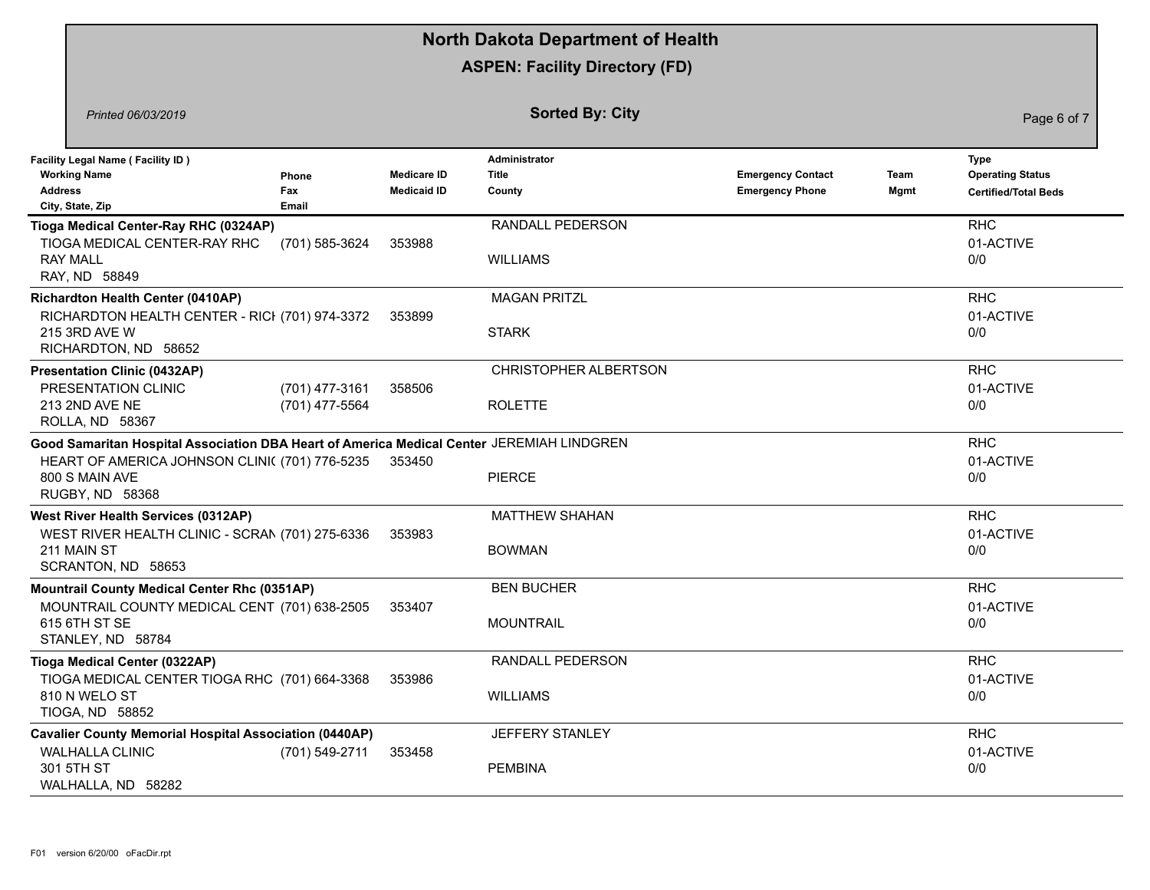|                                                                                                                                                                                  |                                  |                                          | <b>North Dakota Department of Health</b>   |                                                    |              |                                                                       |
|----------------------------------------------------------------------------------------------------------------------------------------------------------------------------------|----------------------------------|------------------------------------------|--------------------------------------------|----------------------------------------------------|--------------|-----------------------------------------------------------------------|
|                                                                                                                                                                                  |                                  |                                          | <b>ASPEN: Facility Directory (FD)</b>      |                                                    |              |                                                                       |
| Printed 06/03/2019                                                                                                                                                               |                                  |                                          | <b>Sorted By: City</b>                     |                                                    |              | Page 6 of 7                                                           |
| <b>Facility Legal Name (Facility ID)</b><br><b>Working Name</b><br><b>Address</b><br>City, State, Zip                                                                            | Phone<br>Fax<br>Email            | <b>Medicare ID</b><br><b>Medicaid ID</b> | Administrator<br><b>Title</b><br>County    | <b>Emergency Contact</b><br><b>Emergency Phone</b> | Team<br>Mgmt | <b>Type</b><br><b>Operating Status</b><br><b>Certified/Total Beds</b> |
| Tioga Medical Center-Ray RHC (0324AP)<br>TIOGA MEDICAL CENTER-RAY RHC<br><b>RAY MALL</b><br>RAY, ND 58849                                                                        | (701) 585-3624                   | 353988                                   | <b>RANDALL PEDERSON</b><br><b>WILLIAMS</b> |                                                    |              | <b>RHC</b><br>01-ACTIVE<br>0/0                                        |
| <b>Richardton Health Center (0410AP)</b><br>RICHARDTON HEALTH CENTER - RICI (701) 974-3372<br>215 3RD AVE W<br>RICHARDTON, ND 58652                                              |                                  | 353899                                   | <b>MAGAN PRITZL</b><br><b>STARK</b>        |                                                    |              | <b>RHC</b><br>01-ACTIVE<br>0/0                                        |
| <b>Presentation Clinic (0432AP)</b><br>PRESENTATION CLINIC<br>213 2ND AVE NE<br>ROLLA, ND 58367                                                                                  | (701) 477-3161<br>(701) 477-5564 | 358506                                   | CHRISTOPHER ALBERTSON<br><b>ROLETTE</b>    |                                                    |              | <b>RHC</b><br>01-ACTIVE<br>0/0                                        |
| Good Samaritan Hospital Association DBA Heart of America Medical Center JEREMIAH LINDGREN<br>HEART OF AMERICA JOHNSON CLINI( (701) 776-5235<br>800 S MAIN AVE<br>RUGBY, ND 58368 |                                  | 353450                                   | <b>PIERCE</b>                              |                                                    |              | <b>RHC</b><br>01-ACTIVE<br>0/0                                        |
| <b>West River Health Services (0312AP)</b><br>WEST RIVER HEALTH CLINIC - SCRAN (701) 275-6336<br>211 MAIN ST<br>SCRANTON, ND 58653                                               |                                  | 353983                                   | <b>MATTHEW SHAHAN</b><br><b>BOWMAN</b>     |                                                    |              | <b>RHC</b><br>01-ACTIVE<br>0/0                                        |
| <b>Mountrail County Medical Center Rhc (0351AP)</b><br>MOUNTRAIL COUNTY MEDICAL CENT (701) 638-2505<br>615 6TH ST SE<br>STANLEY, ND 58784                                        |                                  | 353407                                   | <b>BEN BUCHER</b><br><b>MOUNTRAIL</b>      |                                                    |              | <b>RHC</b><br>01-ACTIVE<br>0/0                                        |
| Tioga Medical Center (0322AP)<br>TIOGA MEDICAL CENTER TIOGA RHC (701) 664-3368<br>810 N WELO ST<br>TIOGA, ND 58852                                                               |                                  | 353986                                   | RANDALL PEDERSON<br><b>WILLIAMS</b>        |                                                    |              | <b>RHC</b><br>01-ACTIVE<br>0/0                                        |
| <b>Cavalier County Memorial Hospital Association (0440AP)</b><br><b>WALHALLA CLINIC</b><br>301 5TH ST<br>WALHALLA, ND 58282                                                      | (701) 549-2711                   | 353458                                   | JEFFERY STANLEY<br><b>PEMBINA</b>          |                                                    |              | <b>RHC</b><br>01-ACTIVE<br>0/0                                        |